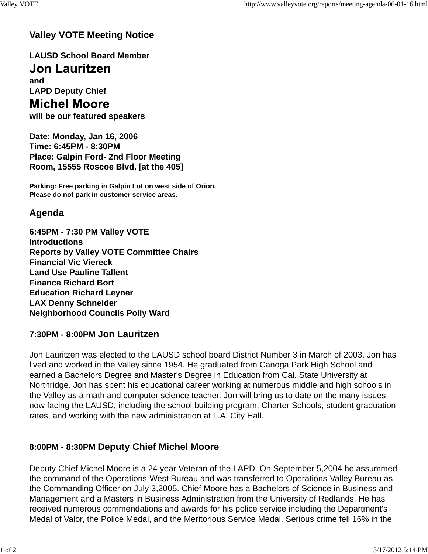# **Valley VOTE Meeting Notice**

**LAUSD School Board Member Jon Lauritzen** 

**and LAPD Deputy Chief**

# **Michel Moore**

**will be our featured speakers**

**Date: Monday, Jan 16, 2006 Time: 6:45PM - 8:30PM Place: Galpin Ford- 2nd Floor Meeting Room, 15555 Roscoe Blvd. [at the 405]**

**Parking: Free parking in Galpin Lot on west side of Orion. Please do not park in customer service areas.**

### **Agenda**

**6:45PM - 7:30 PM Valley VOTE Introductions Reports by Valley VOTE Committee Chairs Financial Vic Viereck Land Use Pauline Tallent Finance Richard Bort Education Richard Leyner LAX Denny Schneider Neighborhood Councils Polly Ward**

#### **7:30PM - 8:00PM Jon Lauritzen**

Jon Lauritzen was elected to the LAUSD school board District Number 3 in March of 2003. Jon has lived and worked in the Valley since 1954. He graduated from Canoga Park High School and earned a Bachelors Degree and Master's Degree in Education from Cal. State University at Northridge. Jon has spent his educational career working at numerous middle and high schools in the Valley as a math and computer science teacher. Jon will bring us to date on the many issues now facing the LAUSD, including the school building program, Charter Schools, student graduation rates, and working with the new administration at L.A. City Hall.

## **8:00PM - 8:30PM Deputy Chief Michel Moore**

Deputy Chief Michel Moore is a 24 year Veteran of the LAPD. On September 5,2004 he assummed the command of the Operations-West Bureau and was transferred to Operations-Valley Bureau as the Commanding Officer on July 3,2005. Chief Moore has a Bachelors of Science in Business and Management and a Masters in Business Administration from the University of Redlands. He has received numerous commendations and awards for his police service including the Department's Medal of Valor, the Police Medal, and the Meritorious Service Medal. Serious crime fell 16% in the